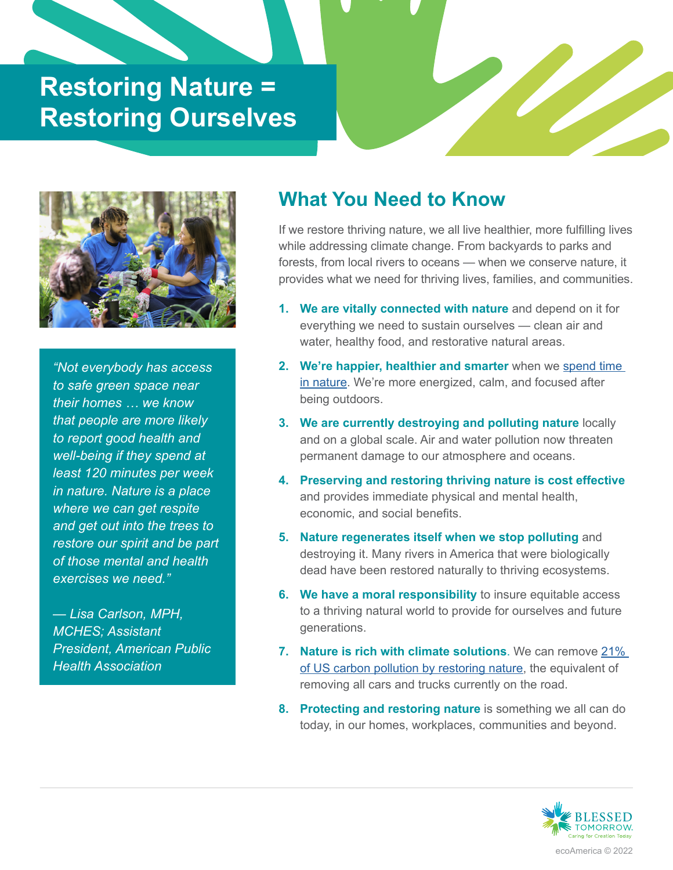## **Restoring Nature = Restoring Ourselves**



*"Not everybody has access to safe green space near their homes … we know that people are more likely to report good health and well-being if they spend at least 120 minutes per week in nature. Nature is a place where we can get respite and get out into the trees to restore our spirit and be part of those mental and health exercises we need."*

*— Lisa Carlson, MPH, MCHES; Assistant President, American Public Health Association*

## **What You Need to Know**

If we restore thriving nature, we all live healthier, more fulfilling lives while addressing climate change. From backyards to parks and forests, from local rivers to oceans — when we conserve nature, it provides what we need for thriving lives, families, and communities.

- **We are vitally connected with nature** and depend on it for **1.**  everything we need to sustain ourselves — clean air and water, healthy food, and restorative natural areas.
- **We're happier, healthier and smarter** when we [spend time](https://www.apa.org/monitor/2020/04/nurtured-nature)  **2.**  [in nature.](https://www.apa.org/monitor/2020/04/nurtured-nature) We're more energized, calm, and focused after being outdoors.
- **We are currently destroying and polluting nature** locally **3.**  and on a global scale. Air and water pollution now threaten permanent damage to our atmosphere and oceans.
- **Preserving and restoring thriving nature is cost effective 4.**  and provides immediate physical and mental health, economic, and social benefits.
- **Nature regenerates itself when we stop polluting** and **5.**  destroying it. Many rivers in America that were biologically dead have been restored naturally to thriving ecosystems.
- **We have a moral responsibility** to insure equitable access **6.**  to a thriving natural world to provide for ourselves and future generations.
- **Nature is rich with climate solutions**. We can remove [21%](https://www.nature.org/en-us/what-we-do/our-insights/perspectives/a-natural-path-for-u-s-climate-action/)  **7.**  [of US carbon pollution by restoring nature](https://www.nature.org/en-us/what-we-do/our-insights/perspectives/a-natural-path-for-u-s-climate-action/), the equivalent of removing all cars and trucks currently on the road.
- **Protecting and restoring nature** is something we all can do **8.**  today, in our homes, workplaces, communities and beyond.